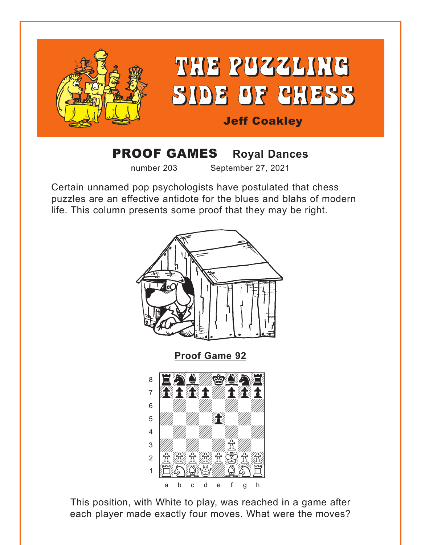<span id="page-0-0"></span>

## **PROOF GAMES Royal Dances**

number 203

 $\overline{4}$ 

3

 $\overline{2}$  $\overline{1}$  September 27, 2021

Certain unnamed pop psychologists have postulated that chess puzzles are an effective antidote for the blues and blahs of modern life. This column presents some proof that they may be right.



This position, with White to play, was reached in a game after each player made exactly four moves. What were the moves?

**我在发展全球**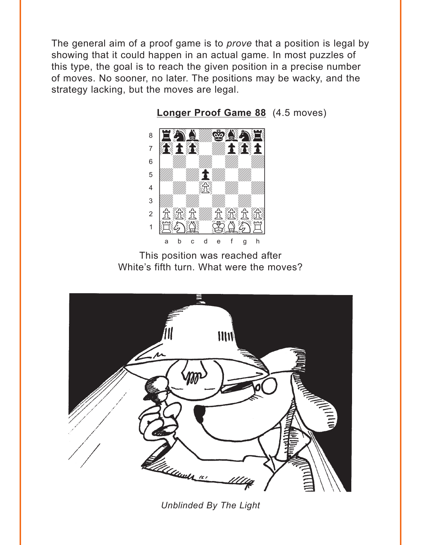<span id="page-1-0"></span>The general aim of a proof game is to prove that a position is legal by showing that it could happen in an actual game. In most puzzles of this type, the goal is to reach the given position in a precise number of moves. No sooner, no later. The positions may be wacky, and the strategy lacking, but the moves are legal.



**Longer Proof Game 88** (4.5 moves)

This position was reached after White's fifth turn. What were the moves?



**Unblinded By The Light**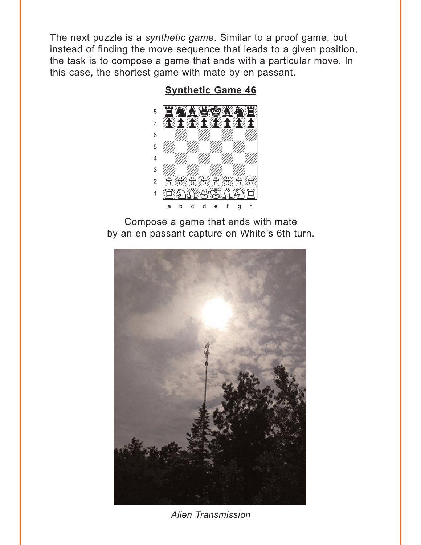<span id="page-2-0"></span>The next puzzle is a synthetic game. Similar to a proof game, but instead of finding the move sequence that leads to a given position, the task is to compose a game that ends with a particular move. In this case, the shortest game with mate by en passant.

## **Synthetic Game 46**



Compose a game that ends with mate by an en passant capture on White's 6th turn.



Alien Transmission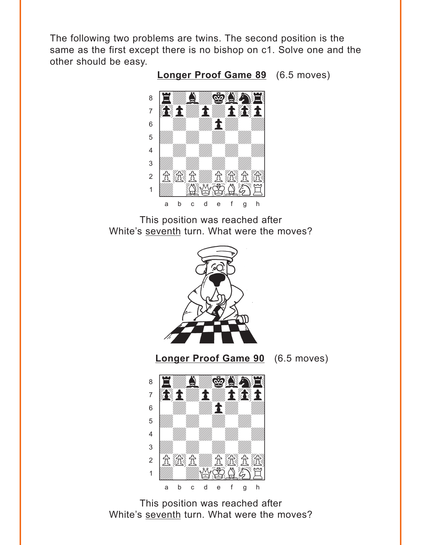<span id="page-3-0"></span>The following two problems are twins. The second position is the same as the first except there is no bishop on c1. Solve one and the other should be easy.

**[Longer Proof Game 89](#page-7-0)** (6.5 moves)



This position was reached after White's seventh turn. What were the moves?



This position was reached after White's seventh turn. What were the moves?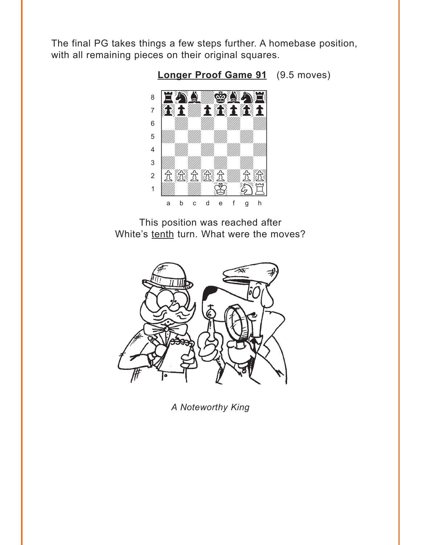<span id="page-4-0"></span>The final PG takes things a few steps further. A homebase position, with all remaining pieces on their original squares.



Longer Proof Game 91 (9.5 moves)

This position was reached after White's tenth turn. What were the moves?



A Noteworthy King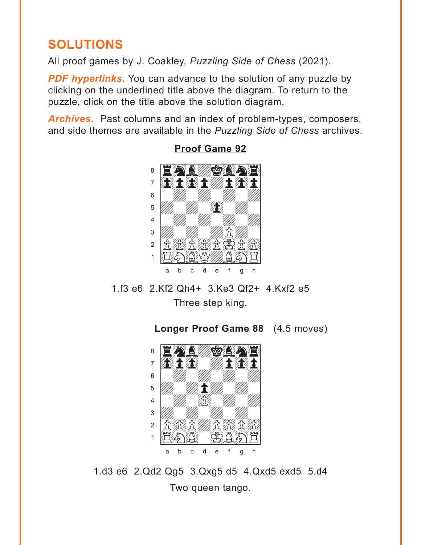## <span id="page-5-0"></span>**SOLUTIONS**

All proof games by J. Coakley, Puzzling Side of Chess (2021).

**PDF hyperlinks.** You can advance to the solution of any puzzle by clicking on the underlined title above the diagram. To return to the puzzle, click on the title above the solution diagram.

**Archives.** Past columns and an index of problem-types, composers, and side themes are available in the Puzzling Side of Chess archives.



**Proof Game 92** 

1.f3 e6 2.Kf2 Oh4+ 3.Ke3 Of2+ 4.Kxf2 e5 Three step king.

Longer Proof Game 88 (4.5 moves)



1.d3 e6 2.Qd2 Qg5 3.Qxg5 d5 4.Qxd5 exd5 5.d4 Two queen tango.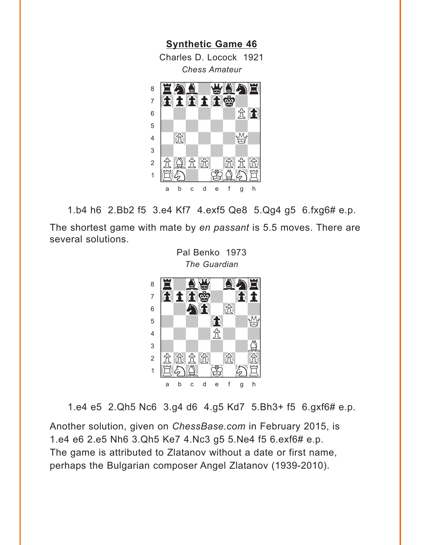<span id="page-6-0"></span>

1.b4 h6 2.Bb2 f5 3.e4 Kf7 4.exf5 Qe8 5.Qg4 g5 6.fxg6# e.p.

The shortest game with mate by *en passant* is 5.5 moves. There are several solutions.

> Pal Benko 1973 *The Guardian*



1.e4 e5 2.Qh5 Nc6 3.g4 d6 4.g5 Kd7 5.Bh3+ f5 6.gxf6# e.p.

Another solution, given on *ChessBase.com* in February 2015, is 1.e4 e6 2.e5 Nh6 3.Qh5 Ke7 4.Nc3 g5 5.Ne4 f5 6.exf6# e.p. The game is attributed to Zlatanov without a date or first name, perhaps the Bulgarian composer Angel Zlatanov (1939-2010).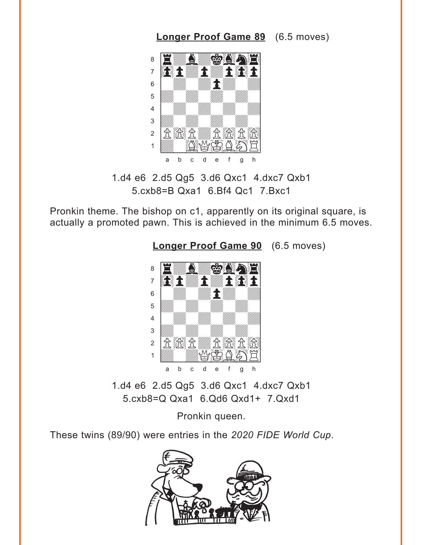## <span id="page-7-0"></span>where  $\frac{1}{2}$  we have the set of  $\frac{1}{2}$ <u>a Eway gar</u>ne à0pdpdp0p]  $\begin{bmatrix} \begin{array}{ccc} \bullet & \end{array} & \begin{array}{ccc} \bullet & \end{array} & \begin{array}{ccc} \bullet & \end{array} & \begin{array}{ccc} \bullet & \end{array} & \begin{array}{ccc} \bullet & \end{array} & \begin{array}{ccc} \bullet & \end{array} & \begin{array}{ccc} \bullet & \end{array} & \begin{array}{ccc} \bullet & \end{array} & \begin{array}{ccc} \bullet & \end{array} & \begin{array}{ccc} \bullet & \end{array} & \begin{array}{ccc} \bullet & \end{array} & \begin{array}{ccc} \bullet & \end{array} & \begin{array}{ccc} \bullet & \end{array} & \begin{array}{ccc$  $\overline{\mathcal{L}}$ 4 William William William William  $\frac{1}{\sqrt{2}}$  $2$   $R$   $R$   $R$   $R$   $R$   $R$  $1$   $\mathbb{Z}$   $\mathbb{Z}$   $\mathbb{Z}$   $\mathbb{Z}$   $\mathbb{Z}$   $\mathbb{Z}$ a b c d e f g h

1.d4 e6 2.d5 Qg5 3.d6 Qxc1 4.dxc7 Qxb1 5.cxb8=B Qxa1 6.Bf4 Qc1 7.Bxc1

Pronkin theme. The bishop on c1, apparently on its original square, is actually a promoted pawn. This is achieved in the minimum 6.5 moves.



**[Longer Proof Game 90](#page-3-0)** (6.5 moves)

**[Longer Proof Game 89](#page-3-0)** (6.5 moves)

1.d4 e6 2.d5 Qg5 3.d6 Qxc1 4.dxc7 Qxb1 5.cxb8=Q Qxa1 6.Qd6 Qxd1+ 7.Qxd1

Pronkin queen.

These twins (89/90) were entries in the *2020 FIDE World Cup*.